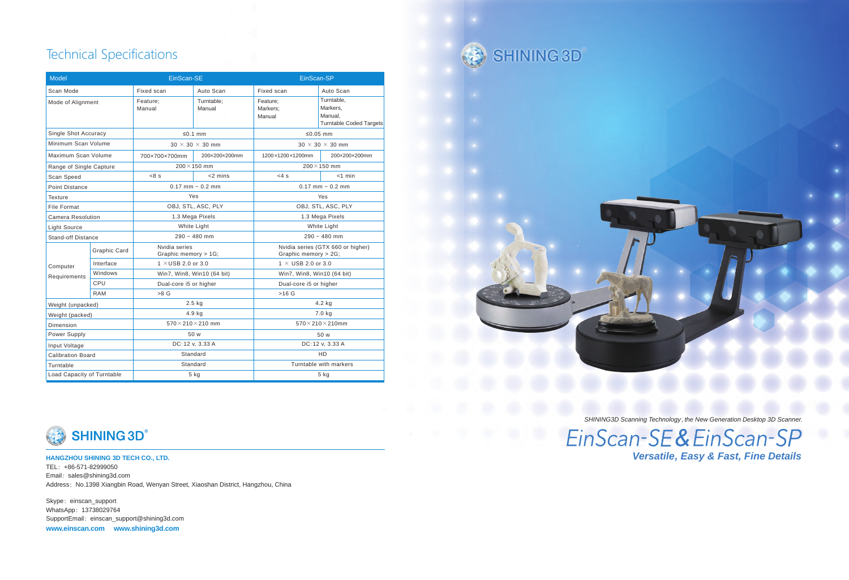*SHINING3D Scanning Technology , the New Generation Desktop 3D Scanner.*

EinScan-SE&EinScan-SP *Versatile, Easy & Fast, Fine Details*

# Technical Specifications

| <b>Model</b>               |                     | EinScan-SE                            |                      | EinScan-SP                                                |                                                                     |
|----------------------------|---------------------|---------------------------------------|----------------------|-----------------------------------------------------------|---------------------------------------------------------------------|
| Scan Mode                  |                     | Fixed scan                            | Auto Scan            | Fixed scan                                                | Auto Scan                                                           |
| Mode of Alignment          |                     | Feature:<br>Manual                    | Turntable:<br>Manual | Feature:<br>Markers:<br>Manual                            | Turntable.<br>Markers,<br>Manual.<br><b>Turntable Coded Targets</b> |
| Single Shot Accuracy       |                     | ≤0.1 mm                               |                      | ≤0.05 mm                                                  |                                                                     |
| Minimum Scan Volume        |                     | $30 \times 30 \times 30$ mm           |                      | $30 \times 30 \times 30$ mm                               |                                                                     |
| Maximum Scan Volume        |                     | 700×700×700mm                         | 200×200×200mm        | 1200×1200×1200mm                                          | 200×200×200mm                                                       |
| Range of Single Capture    |                     | $200 \times 150$ mm                   |                      | $200 \times 150$ mm                                       |                                                                     |
| Scan Speed                 |                     | $<8$ s                                | $<$ 2 mins           | $<4$ s                                                    | $<$ 1 min                                                           |
| <b>Point Distance</b>      |                     | $0.17$ mm $\sim 0.2$ mm               |                      | $0.17$ mm $\sim 0.2$ mm                                   |                                                                     |
| <b>Texture</b>             |                     | Yes                                   |                      | Yes                                                       |                                                                     |
| <b>File Format</b>         |                     | OBJ, STL, ASC, PLY                    |                      | OBJ, STL, ASC, PLY                                        |                                                                     |
| <b>Camera Resolution</b>   |                     | 1.3 Mega Pixels                       |                      | 1.3 Mega Pixels                                           |                                                                     |
| <b>Light Source</b>        |                     | <b>White Light</b>                    |                      | <b>White Light</b>                                        |                                                                     |
| <b>Stand-off Distance</b>  |                     | $290 - 480$ mm                        |                      | $290 - 480$ mm                                            |                                                                     |
| Computer<br>Requirements   | <b>Graphic Card</b> | Nvidia series<br>Graphic memory > 1G; |                      | Nvidia series (GTX 660 or higher)<br>Graphic memory > 2G; |                                                                     |
|                            | Interface           | 1 $\times$ USB 2.0 or 3.0             |                      | 1 $\times$ USB 2.0 or 3.0                                 |                                                                     |
|                            | Windows             | Win7, Win8, Win10 (64 bit)            |                      | Win7, Win8, Win10 (64 bit)                                |                                                                     |
|                            | CPU                 | Dual-core i5 or higher                |                      | Dual-core i5 or higher                                    |                                                                     |
|                            | <b>RAM</b>          | $>8$ G                                |                      | $>16$ G                                                   |                                                                     |
| Weight (unpacked)          |                     | $2.5$ kg                              |                      | 4.2 kg                                                    |                                                                     |
| Weight (packed)            |                     | 4.9 kg                                |                      | 7.0 kg                                                    |                                                                     |
| Dimension                  |                     | $570\times210\times210$ mm            |                      | $570\times210\times210$ mm                                |                                                                     |
| Power Supply               |                     | 50 w                                  |                      | 50 w                                                      |                                                                     |
| Input Voltage              |                     | DC: 12 v, 3.33 A                      |                      | DC: 12 v, 3.33 A                                          |                                                                     |
| <b>Calibration Board</b>   |                     | Standard                              |                      | <b>HD</b>                                                 |                                                                     |
| Turntable                  |                     | Standard                              |                      | Turntable with markers                                    |                                                                     |
| Load Capacity of Turntable |                     | 5 kg                                  |                      | $5$ kg                                                    |                                                                     |

SHINING 3D



**HANGZHOU SHINING 3D TECH CO., LTD.** TEL:+86-571-82999050 Email: sales@shining3d.com Address: No.1398 Xiangbin Road, Wenyan Street, Xiaoshan District, Hangzhou, China

Skype: einscan\_support WhatsApp: 13738029764 SupportEmail: einscan\_support@shining3d.com

**www.einscan.com www.shining3d.com**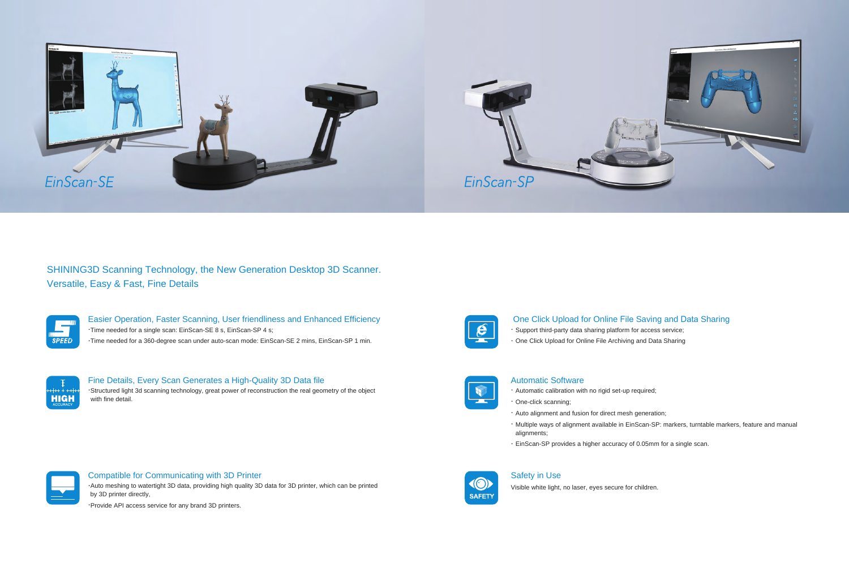Easier Operation, Faster Scanning, User friendliness and Enhanced Efficiency .Time needed for a single scan: EinScan-SE 8 s, EinScan-SP 4 s;

.Time needed for a 360-degree scan under auto-scan mode: EinScan-SE 2 mins, EinScan-SP 1 min.



Fine Details, Every Scan Generates a High-Quality 3D Data file

.Structured light 3d scanning technology, great power of reconstruction the real geometry of the object with fine detail.



#### Compatible for Communicating with 3D Printer

.Auto meshing to watertight 3D data, providing high quality 3D data for 3D printer, which can be printed by 3D printer directly,

.Provide API access service for any brand 3D printers.



### One Click Upload for Online File Saving and Data Sharing

- . Support third-party data sharing platform for access service;
- . One Click Upload for Online File Archiving and Data Sharing



#### Automatic Software

- . Automatic calibration with no rigid set-up required;
- . One-click scanning;
- . Auto alignment and fusion for direct mesh generation;
- alignments;
- . EinScan-SP provides a higher accuracy of 0.05mm for a single scan.



. Multiple ways of alignment available in EinScan-SP: markers, turntable markers, feature and manual

### Safety in Use

Visible white light, no laser, eyes secure for children.



# SHINING3D Scanning Technology, the New Generation Desktop 3D Scanner. Versatile, Easy & Fast, Fine Details